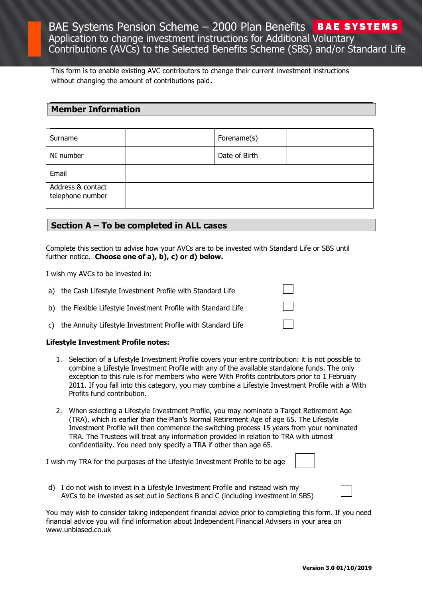This form is to enable existing AVC contributors to change their current investment instructions without changing the amount of contributions paid.

# **Member Information**

| Surname                               | Forename(s)   |  |
|---------------------------------------|---------------|--|
| NI number                             | Date of Birth |  |
| Email                                 |               |  |
| Address & contact<br>telephone number |               |  |

## **Section A – To be completed in ALL cases**

Complete this section to advise how your AVCs are to be invested with Standard Life or SBS until further notice. **Choose one of a), b), c) or d) below.**

I wish my AVCs to be invested in:

- a) the Cash Lifestyle Investment Profile with Standard Life
- b) the Flexible Lifestyle Investment Profile with Standard Life
- c) the Annuity Lifestyle Investment Profile with Standard Life

#### **Lifestyle Investment Profile notes:**

- 1. Selection of a Lifestyle Investment Profile covers your entire contribution: it is not possible to combine a Lifestyle Investment Profile with any of the available standalone funds. The only exception to this rule is for members who were With Profits contributors prior to 1 February 2011. If you fall into this category, you may combine a Lifestyle Investment Profile with a With Profits fund contribution.
- 2. When selecting a Lifestyle Investment Profile, you may nominate a Target Retirement Age (TRA), which is earlier than the Plan's Normal Retirement Age of age 65. The Lifestyle Investment Profile will then commence the switching process 15 years from your nominated TRA. The Trustees will treat any information provided in relation to TRA with utmost confidentiality. You need only specify a TRA if other than age 65.

I wish my TRA for the purposes of the Lifestyle Investment Profile to be age

d) I do not wish to invest in a Lifestyle Investment Profile and instead wish my AVCs to be invested as set out in Sections B and C (including investment in SBS)

You may wish to consider taking independent financial advice prior to completing this form. If you need financial advice you will find information about Independent Financial Advisers in your area on [www.unbiased.co.uk](http://www.unbiased.co.uk/)